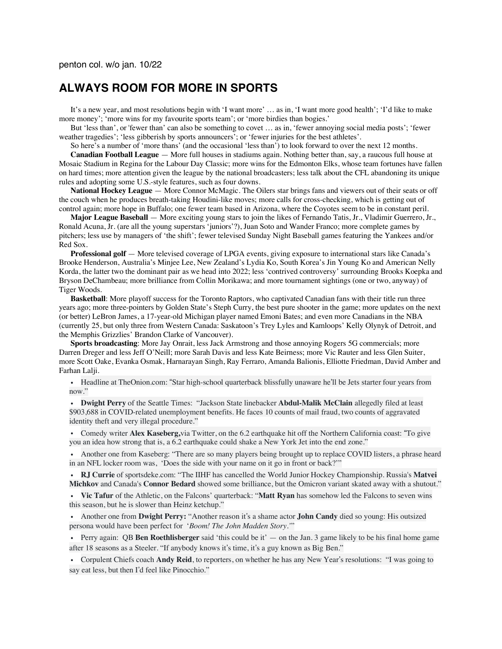## **ALWAYS ROOM FOR MORE IN SPORTS**

It's a new year, and most resolutions begin with 'I want more' … as in, 'I want more good health'; 'I'd like to make more money'; 'more wins for my favourite sports team'; or 'more birdies than bogies.'

But 'less than', or 'fewer than' can also be something to covet … as in, 'fewer annoying social media posts'; 'fewer weather tragedies'; 'less gibberish by sports announcers'; or 'fewer injuries for the best athletes'.

So here's a number of 'more thans' (and the occasional 'less than') to look forward to over the next 12 months. **Canadian Football League** — More full houses in stadiums again. Nothing better than, say, a raucous full house at Mosaic Stadium in Regina for the Labour Day Classic; more wins for the Edmonton Elks, whose team fortunes have fallen on hard times; more attention given the league by the national broadcasters; less talk about the CFL abandoning its unique

rules and adopting some U.S.-style features, such as four downs. **National Hockey League** — More Connor McMagic. The Oilers star brings fans and viewers out of their seats or off the couch when he produces breath-taking Houdini-like moves; more calls for cross-checking, which is getting out of control again; more hope in Buffalo; one fewer team based in Arizona, where the Coyotes seem to be in constant peril.

**Major League Baseball** — More exciting young stars to join the likes of Fernando Tatis, Jr., Vladimir Guerrero, Jr., Ronald Acuna, Jr. (are all the young superstars 'juniors'?), Juan Soto and Wander Franco; more complete games by pitchers; less use by managers of 'the shift'; fewer televised Sunday Night Baseball games featuring the Yankees and/or Red Sox.

**Professional golf** — More televised coverage of LPGA events, giving exposure to international stars like Canada's Brooke Henderson, Australia's Minjee Lee, New Zealand's Lydia Ko, South Korea's Jin Young Ko and American Nelly Korda, the latter two the dominant pair as we head into 2022; less 'contrived controversy' surrounding Brooks Koepka and Bryson DeChambeau; more brilliance from Collin Morikawa; and more tournament sightings (one or two, anyway) of Tiger Woods.

**Basketball**: More playoff success for the Toronto Raptors, who captivated Canadian fans with their title run three years ago; more three-pointers by Golden State's Steph Curry, the best pure shooter in the game; more updates on the next (or better) LeBron James, a 17-year-old Michigan player named Emoni Bates; and even more Canadians in the NBA (currently 25, but only three from Western Canada: Saskatoon's Trey Lyles and Kamloops' Kelly Olynyk of Detroit, and the Memphis Grizzlies' Brandon Clarke of Vancouver).

**Sports broadcasting**: More Jay Onrait, less Jack Armstrong and those annoying Rogers 5G commercials; more Darren Dreger and less Jeff O'Neill; more Sarah Davis and less Kate Beirness; more Vic Rauter and less Glen Suiter, more Scott Oake, Evanka Osmak, Harnarayan Singh, Ray Ferraro, Amanda Balionis, Elliotte Friedman, David Amber and Farhan Lalji.

• Headline at TheOnion.com: "Star high-school quarterback blissfully unaware he'll be Jets starter four years from now."

• **Dwight Perry** of the Seattle Times: "Jackson State linebacker **Abdul-Malik McClain** allegedly filed at least \$903,688 in COVID-related unemployment benefits. He faces 10 counts of mail fraud, two counts of aggravated identity theft and very illegal procedure."

• Comedy writer **Alex Kaseberg,**via Twitter, on the 6.2 earthquake hit off the Northern California coast: "To give you an idea how strong that is, a 6.2 earthquake could shake a New York Jet into the end zone."

• Another one from Kaseberg: "There are so many players being brought up to replace COVID listers, a phrase heard in an NFL locker room was, 'Does the side with your name on it go in front or back?'"

• **RJ Currie** of sportsdeke.com: "The IIHF has cancelled the World Junior Hockey Championship. Russia's **Matvei Michkov** and Canada's **Connor Bedard** showed some brilliance, but the Omicron variant skated away with a shutout."

• **Vic Tafur** of the Athletic, on the Falcons' quarterback: "**Matt Ryan** has somehow led the Falcons to seven wins this season, but he is slower than Heinz ketchup."

• Another one from **Dwight Perry:** "Another reason it's a shame actor **John Candy** died so young: His outsized persona would have been perfect for '*Boom! The John Madden Story.'*"

• Perry again: QB **Ben Roethlisberger** said 'this could be it' — on the Jan. 3 game likely to be his final home game after 18 seasons as a Steeler. "If anybody knows it's time, it's a guy known as Big Ben."

• Corpulent Chiefs coach **Andy Reid**, to reporters, on whether he has any New Year's resolutions: "I was going to say eat less, but then I'd feel like Pinocchio."